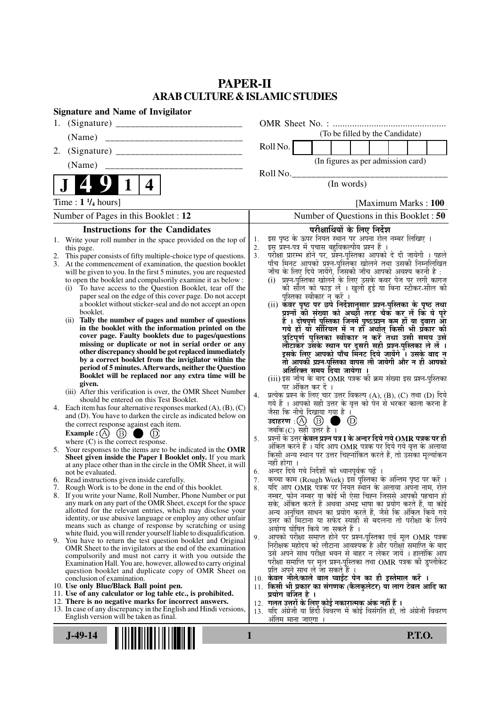## **PAPER-II ARAB CULTURE & ISLAMIC STUDIES**

| <b>Signature and Name of Invigilator</b>                                                                                                 |                                                                                                                                           |  |  |  |  |  |
|------------------------------------------------------------------------------------------------------------------------------------------|-------------------------------------------------------------------------------------------------------------------------------------------|--|--|--|--|--|
|                                                                                                                                          |                                                                                                                                           |  |  |  |  |  |
| (Name)                                                                                                                                   | (To be filled by the Candidate)                                                                                                           |  |  |  |  |  |
| 2.                                                                                                                                       | Roll No.                                                                                                                                  |  |  |  |  |  |
|                                                                                                                                          | (In figures as per admission card)                                                                                                        |  |  |  |  |  |
|                                                                                                                                          | Roll No.                                                                                                                                  |  |  |  |  |  |
| 4                                                                                                                                        | (In words)                                                                                                                                |  |  |  |  |  |
| Time : $1\frac{1}{4}$ hours]                                                                                                             | [Maximum Marks: 100]                                                                                                                      |  |  |  |  |  |
| Number of Pages in this Booklet : 12                                                                                                     | Number of Questions in this Booklet: 50                                                                                                   |  |  |  |  |  |
| <b>Instructions for the Candidates</b>                                                                                                   | परीक्षार्थियों के लिए निर्देश                                                                                                             |  |  |  |  |  |
| Write your roll number in the space provided on the top of<br>1.                                                                         | इस पृष्ठ के ऊपर नियत स्थान पर अपना रोल नम्बर लिखिए ।<br>1.<br>इस प्रश्न-पत्र में पचास बहुविकल्पीय प्रश्न हैं ।<br>2.                      |  |  |  |  |  |
| this page.<br>This paper consists of fifty multiple-choice type of questions.                                                            | परीक्षा प्रारम्भ होने पर, प्रश्न-पुस्तिका आपको दे दी जायेगी । पहले<br>3.                                                                  |  |  |  |  |  |
| At the commencement of examination, the question booklet<br>3.                                                                           | पाँच मिनट आपको प्रश्न-पुस्तिका खोलने तथा उसकी निम्नलिखित                                                                                  |  |  |  |  |  |
| will be given to you. In the first 5 minutes, you are requested<br>to open the booklet and compulsorily examine it as below :            | जाँच के लिए दिये जायेंगे, जिसकी जाँच आपको अवश्य करनी है :<br>(i) प्रश्न-पुस्तिका खोलने के लिए उसके कवर पेज पर लगी कागज                    |  |  |  |  |  |
| To have access to the Question Booklet, tear off the<br>(i)                                                                              | की सील को फाड़ लें । खुली हुई या बिना स्टीकर-सील की                                                                                       |  |  |  |  |  |
| paper seal on the edge of this cover page. Do not accept<br>a booklet without sticker-seal and do not accept an open                     | पुस्तिका स्वीकार न करें ।<br>(ii) कॅवर पृष्ठ पर छपे निर्देशानुसार प्रश्न-पुस्तिका के पृष्ठ तथा                                            |  |  |  |  |  |
| booklet.                                                                                                                                 | प्रश्नों की संख्या को अच्छी तरह चैक कर लें कि ये पूरे                                                                                     |  |  |  |  |  |
| Tally the number of pages and number of questions<br>(ii)                                                                                | हैं । दोषपूर्ण पुस्तिका जिनमें पृष्ठ/प्रश्न कम हों या दुबारा आ<br>गये हो या सीरियल में न हो अर्थात् किसी भी प्रकार की                     |  |  |  |  |  |
| in the booklet with the information printed on the<br>cover page. Faulty booklets due to pages/questions                                 | त्रुटिपूर्ण पुस्तिका स्वीकार न करें तथा उसी समय उसे                                                                                       |  |  |  |  |  |
| missing or duplicate or not in serial order or any                                                                                       | लौटाकर उसके स्थान पर दूसरी सही प्रश्न-पुस्तिका ले लें ।<br>इसके लिए आपको पाँच मिनट दिये जायेंगे । उसके बाद न                              |  |  |  |  |  |
| other discrepancy should be got replaced immediately<br>by a correct booklet from the invigilator within the                             |                                                                                                                                           |  |  |  |  |  |
| period of 5 minutes. Afterwards, neither the Question                                                                                    | तो आपकी प्रश्न-पुस्तिका वापस ली जायेगी और न ही आपको<br>अतिरिक्त समय दिया जायेगा ।                                                         |  |  |  |  |  |
| Booklet will be replaced nor any extra time will be                                                                                      | (iii) इस जाँच के बाद OMR पत्रक की क्रम संख्या इस प्रश्न-पुस्तिका                                                                          |  |  |  |  |  |
| given.<br>(iii) After this verification is over, the OMR Sheet Number                                                                    | पर अंकित कर दें ।                                                                                                                         |  |  |  |  |  |
| should be entered on this Test Booklet.                                                                                                  | प्रत्येक प्रश्न के लिए चार उत्तर विकल्प (A), (B), (C) तथा (D) दिये<br>4.<br>गये हैं । आपको सही उत्तर के वृत्त को पेन से भरकर काला करना है |  |  |  |  |  |
| 4. Each item has four alternative responses marked $(A)$ , $(B)$ , $(C)$<br>and (D). You have to darken the circle as indicated below on | जैसा कि नीचे दिखाया गया है ।                                                                                                              |  |  |  |  |  |
| the correct response against each item.                                                                                                  | $\circled{D}$<br>a ka                                                                                                                     |  |  |  |  |  |
| Example : (A) $(B)$                                                                                                                      | जबकि(C) सही उत्तर है ।<br>प्रश्नों के उत्तर <b>केवल प्रश्न पत्र I के अन्दर दिये गये OMR पत्रक पर ही</b><br>5.                             |  |  |  |  |  |
| where $(C)$ is the correct response.<br>5. Your responses to the items are to be indicated in the OMR                                    | अंकित करने हैं । यदि आप OMR पत्रक पर दिये गये वृत्त के अलावा                                                                              |  |  |  |  |  |
| Sheet given inside the Paper I Booklet only. If you mark                                                                                 | किसी अन्य स्थान पर उत्तर चिह्नांकित करते हैं, तो उसका मूल्यांकन<br>नहीं होगा ।                                                            |  |  |  |  |  |
| at any place other than in the circle in the OMR Sheet, it will<br>not be evaluated.                                                     | अन्दर दिये गये निर्देशों को ध्यानपूर्वक पढ़ें<br>6.                                                                                       |  |  |  |  |  |
| 6. Read instructions given inside carefully.                                                                                             | कृत्वा काम (Rough Work) इस पुस्तिका के अन्तिम पृष्ठ पर करें ।<br>7.                                                                       |  |  |  |  |  |
| 7. Rough Work is to be done in the end of this booklet.<br>8. If you write your Name, Roll Number, Phone Number or put                   | र्याद आप OMR पत्रक पर नियत स्थान के अलावा अपना नाम, रोल<br>8.<br>नम्बर, फोन नम्बर या कोई भी ऐसा चिह्न जिससे आपकी पहचान हो                 |  |  |  |  |  |
| any mark on any part of the OMR Sheet, except for the space                                                                              | सके, अंकित करते हैं अथवा अभद्र भाषा का प्रयोग करते हैं, या कोई                                                                            |  |  |  |  |  |
| allotted for the relevant entries, which may disclose your<br>identity, or use abusive language or employ any other unfair               | अन्य अनुचित साधन का प्रयोग करते हैं, जैसे कि अंकित किये गये                                                                               |  |  |  |  |  |
| means such as change of response by scratching or using                                                                                  | उत्तर को मिटाना या सफेद स्याही से बदलना तो परीक्षा के लिये<br>अयोग्य घोषित किये जा सकते हैं ।                                             |  |  |  |  |  |
| white fluid, you will render yourself liable to disqualification.<br>9. You have to return the test question booklet and Original        | आपको परीक्षा समाप्त होने पर प्रश्न-पुस्तिका एवं मूल OMR पत्रक<br>9.                                                                       |  |  |  |  |  |
| OMR Sheet to the invigilators at the end of the examination                                                                              | निरीक्षक महोदय को लौटाना आवश्यक है और परीक्षा समाप्ति के बाद<br>उसे अपने साथ परीक्षा भवन से बाहर न लेकर जायें । हालांकि आप                |  |  |  |  |  |
| compulsorily and must not carry it with you outside the<br>Examination Hall. You are, however, allowed to carry original                 | परीक्षा समाप्ति पर मूल प्रश्न-पुस्तिका तथा OMR पत्रक की डुप्लीकेट                                                                         |  |  |  |  |  |
| question booklet and duplicate copy of OMR Sheet on                                                                                      | प्रति अपने साथ ले जा सकते हैं ।                                                                                                           |  |  |  |  |  |
| conclusion of examination.<br>10. Use only Blue/Black Ball point pen.                                                                    | 10. केवल नीले/काले बाल प्वाईंट पेन का ही इस्तेमाल करें ।<br>11. किसी भी प्रकार का संगणक (कैलकुलेटर) या लाग टेबल आदि का                    |  |  |  |  |  |
| 11. Use of any calculator or log table etc., is prohibited.                                                                              | प्रयोग वर्जित है ।                                                                                                                        |  |  |  |  |  |
| 12. There is no negative marks for incorrect answers.<br>13. In case of any discrepancy in the English and Hindi versions,               | 12. गलत उत्तरों के लिए कोई नकारात्मक अंक नहीं हैं ।                                                                                       |  |  |  |  |  |
| English version will be taken as final.                                                                                                  | 13. यदि अंग्रेजी या हिंदी विवरण में कोई विसंगति हो, तो अंग्रेजी विवरण<br>अतिम माना जाएगा ।                                                |  |  |  |  |  |
|                                                                                                                                          |                                                                                                                                           |  |  |  |  |  |
| $J-49-14$<br>1                                                                                                                           | <b>P.T.O.</b>                                                                                                                             |  |  |  |  |  |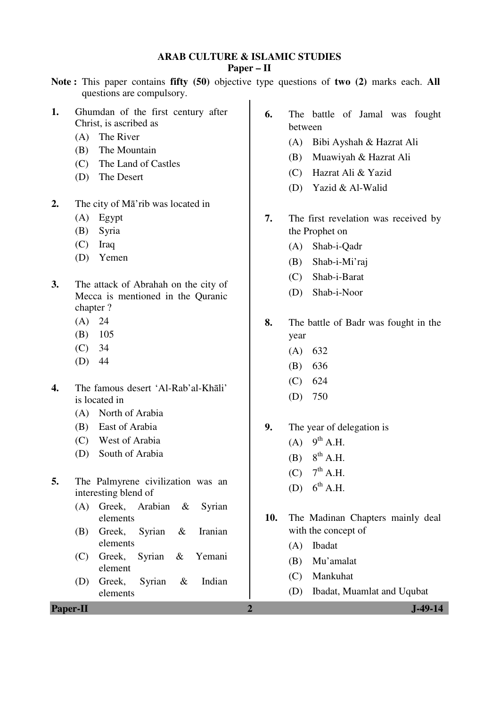# **ARAB CULTURE & ISLAMIC STUDIES**

## **Paper – II**

- **Note :** This paper contains **fifty (50)** objective type questions of **two (2)** marks each. **All** questions are compulsory.
- **1.** Ghumdan of the first century after Christ, is ascribed as
	- (A) The River
	- (B) The Mountain
	- (C) The Land of Castles
	- (D) The Desert
- **2.** The city of Mā'rib was located in
	- (A) Egypt
	- (B) Syria
	- (C) Iraq
	- (D) Yemen
- **3.** The attack of Abrahah on the city of Mecca is mentioned in the Quranic chapter ?
	- $(A) 24$
	- (B) 105
	- (C) 34
	- (D) 44
- **4.** The famous desert 'Al-Rab'al-Khāli' is located in
	- (A) North of Arabia
	- (B) East of Arabia
	- (C) West of Arabia
	- (D) South of Arabia
- **5.** The Palmyrene civilization was an interesting blend of
	- (A) Greek, Arabian & Syrian elements
	- (B) Greek, Syrian & Iranian elements
	- (C) Greek, Syrian & Yemani element
	- (D) Greek, Syrian & Indian elements
- **Paper-II 2 J-49-14**
- **6.** The battle of Jamal was fought between
	- (A) Bibi Ayshah & Hazrat Ali
	- (B) Muawiyah & Hazrat Ali
	- (C) Hazrat Ali & Yazid
	- (D) Yazid & Al-Walid
- **7.** The first revelation was received by the Prophet on
	- (A) Shab-i-Qadr
	- (B) Shab-i-Mi'raj
	- (C) Shab-i-Barat
	- (D) Shab-i-Noor
- **8.** The battle of Badr was fought in the year
	- (A) 632
	- (B) 636
	- (C) 624
	- (D) 750
- **9.** The year of delegation is
	- $(A)$  9<sup>th</sup> A.H.
	- $(B)$   $8^{th}$  A.H.
	- $(C)$  7<sup>th</sup> A.H.
	- (D)  $6^{th}$  A.H.
- **10.** The Madinan Chapters mainly deal with the concept of
	- (A) Ibadat
	- (B) Mu'amalat
	- (C) Mankuhat
	- (D) Ibadat, Muamlat and Uqubat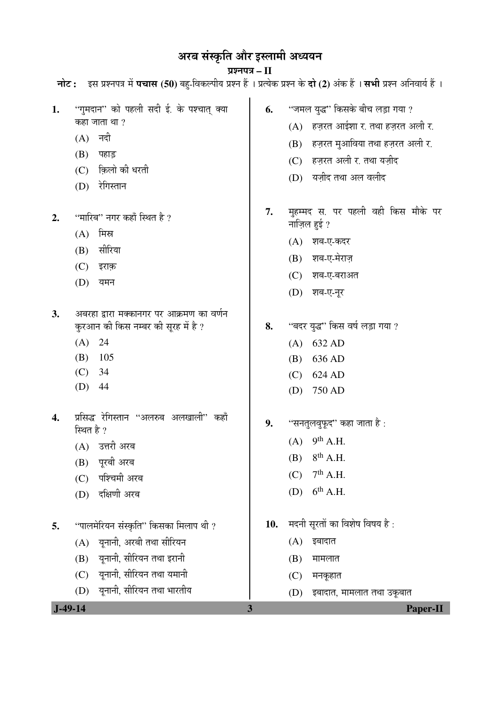# अरब संस्कृति और इस्लामी अध्ययन

## प्रश्नपत्र – II **नोट :** इस प्रश्नपत्र में **पचास (50**) बहु-विकल्पीय प्रश्न हैं । प्रत्येक प्रश्न के **दो (2**) अंक हैं । **सभी** प्रश्न अनिवार्य हैं ।

| 1. | ''गुमदान'' को पहली सदी ई. के पश्चात् क्या                                       | 6.  | ''जमल युद्ध'' किसके बीच लड़ा गया ?                 |
|----|---------------------------------------------------------------------------------|-----|----------------------------------------------------|
|    | कहा जाता था ?                                                                   |     | (A) हज़रत आईशा र. तथा हज़रत अली र.                 |
|    | (A) नदी                                                                         |     | हज़रत मुआविया तथा हज़रत अली र.<br>(B)              |
|    | (B)<br>पहाड़                                                                    |     | (C) हज़रत अली र. तथा यज़ीद                         |
|    | क़िलो की धरती<br>(C)                                                            |     | (D) यज़ीद तथा अल वलीद                              |
|    | रेगिस्तान<br>(D)                                                                |     |                                                    |
| 2. | ''मारिब'' नगर कहाँ स्थित है ?                                                   | 7.  | मुहम्मद स. पर पहली वही किस मौके पर<br>नाज़िल हुई ? |
|    | मिस्र<br>(A)                                                                    |     | (A) शब-ए-कदर                                       |
|    | सीरिया<br>(B)                                                                   |     | शब-ए-मेराज़<br>(B)                                 |
|    | (C)<br>इराक़                                                                    |     | (C)<br>शब-ए-बराअत                                  |
|    | (D)<br>यमन                                                                      |     | (D) शब-ए-नूर                                       |
|    |                                                                                 |     |                                                    |
| 3. | अबरहा द्वारा मक्कानगर पर आक्रमण का वर्णन<br>कुरआन की किस नम्बर की सूरह में है ? | 8.  | ''बदर युद्ध'' किस वर्ष लड़ा गया ?                  |
|    | (A) 24                                                                          |     | 632 AD<br>(A)                                      |
|    | (B)<br>105                                                                      |     | 636 AD<br>(B)                                      |
|    | (C)<br>34                                                                       |     | (C)<br>624 AD                                      |
|    | (D)<br>44                                                                       |     | 750 AD<br>(D)                                      |
| 4. | प्रसिद्ध रेगिस्तान "अलरुब अलखाली" कहाँ<br>स्थित है ?                            | 9.  | ''सनतुलवुफूद'' कहा जाता है :                       |
|    | (A) उत्तरी अरब                                                                  |     | $9th$ A.H.<br>(A)                                  |
|    | पूरबी अरब<br>(B)                                                                |     | $8th$ A.H.<br>(B)                                  |
|    | (C) पश्चिमी अरब                                                                 |     | $7th$ A.H.<br>(C)                                  |
|    | दक्षिणी अरब<br>(D)                                                              |     | $6^{\text{th}}$ A.H.<br>(D)                        |
| 5. | ''पालमेरियन संस्कृति'' किसका मिलाप थी ?                                         | 10. | मदनी सूरतों का विशेष विषय है:                      |
|    | यूनानी, अरबी तथा सीरियन<br>(A)                                                  |     | (A)<br>इबादात                                      |
|    | यूनानी, सीरियन तथा इरानी<br>(B)                                                 |     | (B)<br>मामलात                                      |
|    | यूनानी, सीरियन तथा यमानी<br>(C)                                                 |     | मनकूहात<br>(C)                                     |
|    | यूनानी, सीरियन तथा भारतीय<br>(D)                                                |     | (D)<br>इबादात, मामलात तथा उकूबात                   |
|    | $J-49-14$                                                                       | 3   | <b>Paper-II</b>                                    |
|    |                                                                                 |     |                                                    |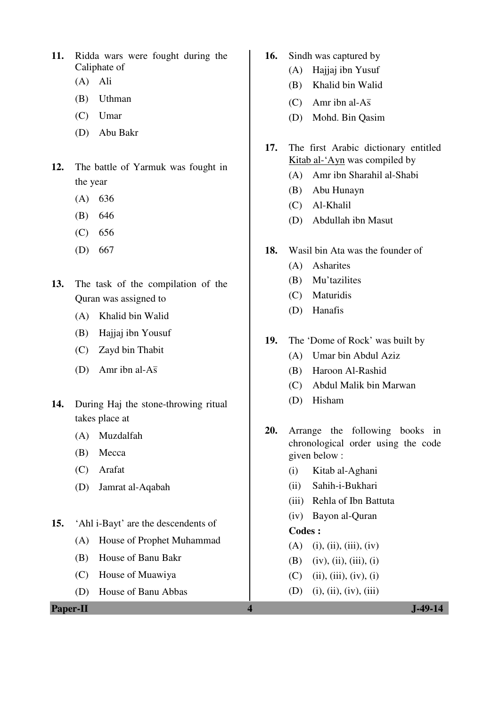- **11.** Ridda wars were fought during the Caliphate of
	- (A) Ali
	- (B) Uthman
	- (C) Umar
	- (D) Abu Bakr
- **12.** The battle of Yarmuk was fought in the year
	- (A) 636
	- (B) 646
	- (C) 656
	- (D) 667
- **13.** The task of the compilation of the Quran was assigned to
	- (A) Khalid bin Walid
	- (B) Hajjaj ibn Yousuf
	- (C) Zayd bin Thabit
- (D) Amr ibn al-A $\bar{s}$
- **14.** During Haj the stone-throwing ritual takes place at
	- (A) Muzdalfah
	- (B) Mecca
	- (C) Arafat
	- (D) Jamrat al-Aqabah
- **15.** 'Ahl i-Bayt' are the descendents of
	- (A) House of Prophet Muhammad
	- (B) House of Banu Bakr
	- (C) House of Muawiya
	- (D) House of Banu Abbas

**Paper-II** J-49-14

- **16.** Sindh was captured by
	- (A) Hajjaj ibn Yusuf
	- (B) Khalid bin Walid
- (C) Amr ibn al-A $\bar{s}$ 
	- (D) Mohd. Bin Qasim
- **17.** The first Arabic dictionary entitled Kitab al-'Ayn was compiled by
	- (A) Amr ibn Sharahil al-Shabi
	- (B) Abu Hunayn
	- (C) Al-Khalil
	- (D) Abdullah ibn Masut
- **18.** Wasil bin Ata was the founder of
	- (A) Asharites
	- (B) Mu'tazilites
	- (C) Maturidis
	- (D) Hanafis
- **19.** The 'Dome of Rock' was built by
	- (A) Umar bin Abdul Aziz
	- (B) Haroon Al-Rashid
	- (C) Abdul Malik bin Marwan
	- (D) Hisham
- **20.** Arrange the following books in chronological order using the code given below :
	- (i) Kitab al-Aghani
	- (ii) Sahih-i-Bukhari
	- (iii) Rehla of Ibn Battuta
	- (iv) Bayon al-Quran

#### **Codes :**

- $(A)$  (i), (ii), (iii), (iv)
- (B) (iv), (ii), (iii), (i)
- $(C)$  (ii), (iii), (iv), (i)
- (D) (i), (ii), (iv), (iii)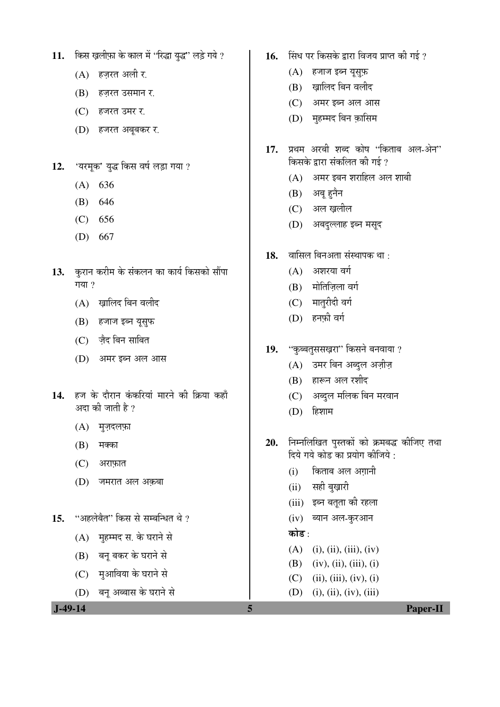- 11. किस ख़लीफ़ा के काल में "रिद्धा युद्ध" लड़े गये ?
	- $(A)$  हज़रत अली र.
	- (B) हज़रत उसमान र.
	- (C) हजरत उमर र.
	- (D) हजरत अबूबकर र.
- 12. 'यरमूक' युद्ध किस वर्ष लड़ा गया ?
	- (A) 636
	- (B) 646
	- (C) 656
	- (D) 667
- 13. कुरान करीम के संकलन का कार्य किसको सौंपा गया $?$ 
	- $(A)$  खालिद बिन वलीद
	- (B) हजाज इब्न यूसुफ
	- (C) ज़ैद बिन साबित
	- (D) अमर इब्न अल आस
- 14. हज के दौरान कंकरियां मारने की क्रिया कहाँ अदा की जाती है ?
	- $(A)$  मुज़दलफ़ा
	- $(B)$  मक्का
	- $(C)$  अराफ़ात
	- (D) जमरात अल अक़बा
- 15. "अहलेबैत" किस से सम्बन्धित थे ?
	- (A) महम्मद स. के घराने से
	- (B) बनू बकर के घराने से
	- (C) मुआविया के घराने से
	- (D) बन् अब्बास के घराने से
- 16. सिंध पर किसके द्वारा विजय प्राप्त की गई ?
	- $(A)$  हजाज इब्न यूस्फ़
	- (B) ख़ालिद बिन वलीद
	- $(C)$  अमर इब्न अल आस
	- (D) मुहम्मद बिन क़ासिम
- 17. प्रथम अरबी शब्द कोष 'किताब अल-ओन' किसके द्वारा संकलित की गई ?
	- $(A)$  अमर इबन शराहिल अल शाबी
	- (B) अबू हुनैन
	- (C) अल ख़लील
	- (D) अबदल्लाह इब्न मसुद
- 18. वासिल बिनअता संस्थापक था :
	- $(A)$  अशरया वर्ग
	- $(B)$  मोतिजिला वर्ग
	- (C) मातुरीदी वर्ग
	- $(D)$  हनफी वर्ग
- 19. "कुब्बतुससख़रा" किसने बनवाया ?
	- $(A)$  उमर बिन अब्दुल अज़ीज़
	- (B) हारून अल रशीद
	- (C) । अब्दुल मलिक बिन मरवान
	- $(D)$  हिशाम
- 20. निम्नलिखित पुस्तकों को क्रमबद्ध कीजिए तथा <u>दिये गये कोड का प्रयोग कीजिये :</u>
	- (i) किताब अल अगानी
	- (ii) सही बुख़ारी
	- (iii) इब्न बतूता की रहला
	- (iv) ब्यान अल-कुरआन

### कोड :

- $(A)$  (i), (ii), (iii), (iv)
- (B) (iv), (ii), (iii), (i)
- $(C)$  (ii), (iii), (iv), (i)
- $(D)$  (i), (ii), (iv), (iii)

 **J-49-14 5 Paper-II**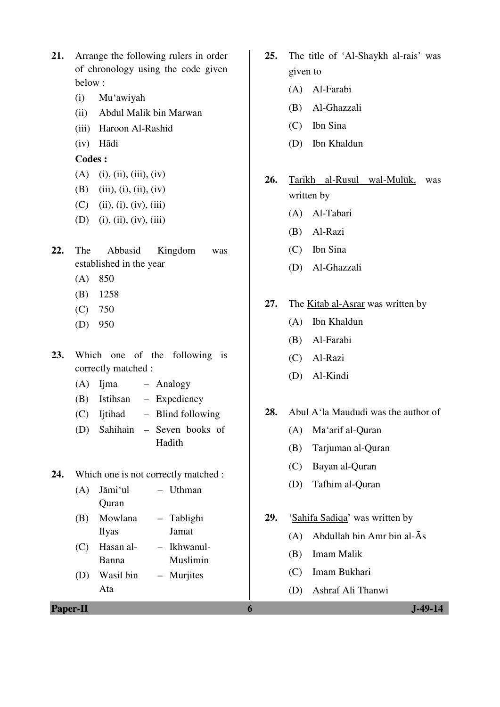- **21.** Arrange the following rulers in order of chronology using the code given below :
	- (i) Mu'awiyah
	- (ii) Abdul Malik bin Marwan
	- (iii) Haroon Al-Rashid
	- (iv) Hādi

## **Codes :**

- $(A)$  (i), (ii), (iii), (iv)
- (B) (iii), (i), (ii), (iv)
- $(C)$  (ii), (i), (iv), (iii)
- (D) (i), (ii), (iv), (iii)
- **22.** The Abbasid Kingdom was established in the year
	- (A) 850
	- (B) 1258
	- (C) 750
	- (D) 950
- **23.** Which one of the following is correctly matched :
	- (A) Ijma Analogy
	- (B) Istihsan Expediency
	- (C) Ijtihad Blind following
	- (D) Sahihain Seven books of Hadith
- **24.** Which one is not correctly matched :
	- (A) Jāmi'ul **Ouran** – Uthman
	- (B) Mowlana Ilyas – Tablighi Jamat
	- (C) Hasan al-Banna – Ikhwanul-Muslimin
	- (D) Wasil bin Ata – Murjites
- **Paper-II 6 J-49-14**
- **25.** The title of 'Al-Shaykh al-rais' was given to
	- (A) Al-Farabi
	- (B) Al-Ghazzali
	- (C) Ibn Sina
	- (D) Ibn Khaldun
- **26.** Tarikh al-Rusul wal-Mulūk, was written by
	- (A) Al-Tabari
	- (B) Al-Razi
	- (C) Ibn Sina
	- (D) Al-Ghazzali
- **27.** The Kitab al-Asrar was written by
	- (A) Ibn Khaldun
	- (B) Al-Farabi
	- (C) Al-Razi
	- (D) Al-Kindi
- **28.** Abul A'la Maududi was the author of
	- (A) Ma'arif al-Quran
	- (B) Tarjuman al-Quran
	- (C) Bayan al-Quran
	- (D) Tafhim al-Quran
- 29. 'Sahifa Sadiqa' was written by
	- (A) Abdullah bin Amr bin al-Ās
	- (B) Imam Malik
	- (C) Imam Bukhari
	- (D) Ashraf Ali Thanwi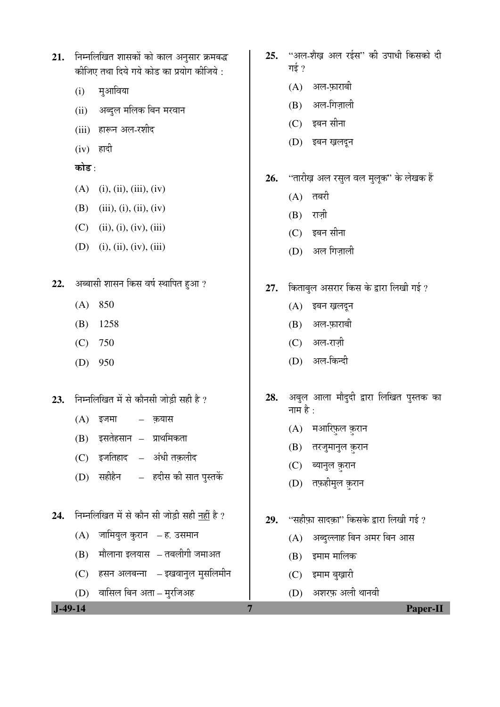| $21.$ निम्नलिखित शासकों को काल अनुसार क्रमबद्ध |
|------------------------------------------------|
| कीजिए तथा दिये गये कोड का प्रयोग कीजिये :      |

- $(i)$  मुआविया
- (ii) अब्दुल मलिक बिन मरवान
- (iii) हारून अल-रशीद
- $(iv)$  हादी

कोड़<sup>.</sup>

- $(A)$  (i), (ii), (iii), (iv)
- (B) (iii), (i), (ii), (iv)
- $(C)$  (ii), (i), (iv), (iii)
- $(D)$  (i), (ii), (iv), (iii)
- 22. अब्बासी शासन किस वर्ष स्थापित हुआ ?
	- (A) 850
	- (B) 1258
	- (C) 750
	- (D) 950
- 23. निम्नलिखित में से कौनसी जोड़ी सही है ?
	- $(A)$  इजमा $-$  कयास
	- $(B)$  इसतेहसान प्राथमिकता
	- (C) इजतिहाद अंधी तक़लीद
	- (D) सहीहैन हदीस की सात पुस्तकें
- 24. निम्नलिखित में से कौन सी जोड़ी सही नहीं है ?
	- $(A)$  जामियुल कुरान ह. उसमान
	- $(B)$  मौलाना इलयास तबलीगी जमाअत
	- (C) हसन अलबन्ना इखवानुल मुसलिमीन
	- (D) वासिल बिन अता मुरजिअह
- 25. "अल-शैख अल रईस" की उपाधी किसको दी गई $\gamma$ 
	- $(A)$  अल-फ़ाराबी
	- $(B)$  अल-गिज़ाली
	- $(C)$  इबन सीना
	- (D) इबन ख़लदून
- 26. "तारीख़ अल रसुल वल मुलूक" के लेखक हैं
	- $(A)$  तबरी
	- $(B)$  राज़ी
	- $(C)$  इबन सीना
	- $(D)$  अल गिज़ाली
- 27. किताबुल असरार किस के द्वारा लिखी गई ?
	- (A) इबन ख़लदून
	- $(B)$  अल-फ़ाराबी
	- (C) अल-राज़ी
	- (D) अल-किन्दी
- 28. अबुल आला मौदुदी द्वारा लिखित पुस्तक का नाम $\hat{\vec{z}}$   $\cdot$ 
	- $(A)$  मआरिफ़ल क़रान
	- (B) तरजुमानुल क़रान
	- (C) ब्यानुल क़रान
	- (D) तफ़हीमुल क़रान
- 29. **"सहीफ़ा सादक़ा" किसके द्वारा लिखी गई** ?
	- (A) अब्दुल्लाह बिन अमर बिन आस
	- $(B)$  इमाम मालिक
	- $(C)$  इमाम बखारी
	- $(D)$  अशरफ अली थानवी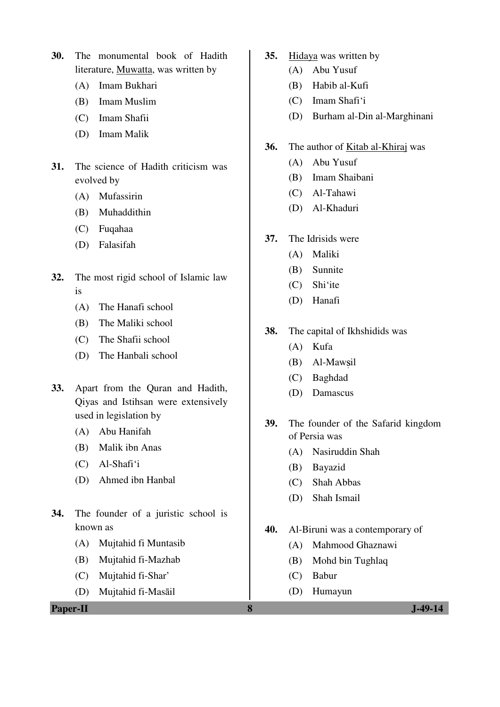**30.** The monumental book of Hadith literature, Muwatta, was written by

- (A) Imam Bukhari
- (B) Imam Muslim
- (C) Imam Shafii
- (D) Imam Malik
- **31.** The science of Hadith criticism was evolved by
	- (A) Mufassirin
	- (B) Muhaddithin
	- (C) Fuqahaa
	- (D) Falasifah
- **32.** The most rigid school of Islamic law is
	- (A) The Hanafi school
	- (B) The Maliki school
	- (C) The Shafii school
	- (D) The Hanbali school
- **33.** Apart from the Quran and Hadith, Qiyas and Istihsan were extensively used in legislation by
	- (A) Abu Hanifah
	- (B) Malik ibn Anas
	- (C) Al-Shafi'i
	- (D) Ahmed ibn Hanbal
- **34.** The founder of a juristic school is known as
	- (A) Mujtahid fi Muntasib
	- (B) Mujtahid fi-Mazhab
	- (C) Mujtahid fi-Shar'
	- (D) Mujtahid fi-Masāil

**Paper-II 8 J-49-14**

- **35.** Hidaya was written by
	- (A) Abu Yusuf
	- (B) Habib al-Kufi
	- (C) Imam Shafi'i
	- (D) Burham al-Din al-Marghinani
- **36.** The author of Kitab al-Khiraj was
	- (A) Abu Yusuf
	- (B) Imam Shaibani
	- (C) Al-Tahawi
	- (D) Al-Khaduri
- **37.** The Idrisids were
	- (A) Maliki
	- (B) Sunnite
	- (C) Shi'ite
	- (D) Hanafi
- **38.** The capital of Ikhshidids was
	- (A) Kufa
	- (B) Al-Mawsil
	- (C) Baghdad
	- (D) Damascus
- **39.** The founder of the Safarid kingdom of Persia was
	- (A) Nasiruddin Shah
	- (B) Bayazid
	- (C) Shah Abbas
	- (D) Shah Ismail
- **40.** Al-Biruni was a contemporary of
	- (A) Mahmood Ghaznawi
	- (B) Mohd bin Tughlaq
	- (C) Babur
	- (D) Humayun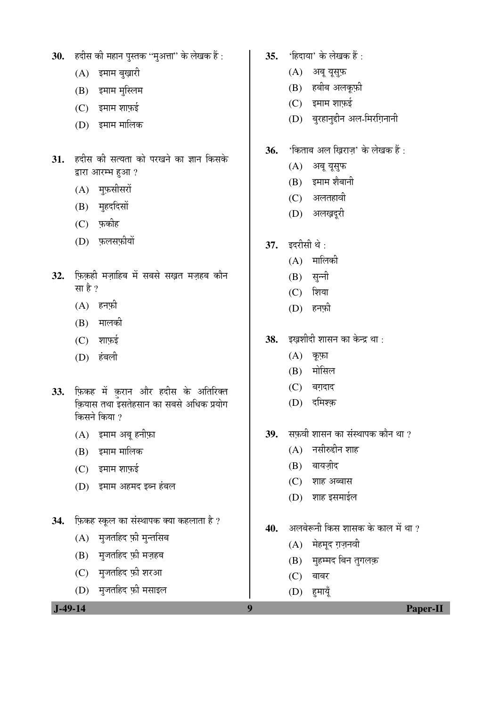- 30. हदीस की महान पुस्तक "मुअत्ता" के लेखक हैं :
	- $(A)$  इमाम बुख़ारी
	- $(B)$  इमाम मुस्लिम
	- $(C)$  इमाम शाफ़ई
	- (D) इमाम मालिक
- 31. हदीस की सत्यता को परखने का ज्ञान किसके द्वारा आरम्भ हुआ ?
	- $(A)$  मुफ़सीसरों
	- (B) मुहददिसों
	- $(C)$  फ़कीह
	- (D) फ़लसफ़ीयों
- 32. फिकही मजाहिब में सबसे सखत मजहब कौन सा है $?$ 
	- $(A)$  हनफ़ी
	- $(B)$  मालकी
	- $(C)$  शाफ़ई
	- (D) हंबली
- 33. फ़िकह में क़रान और हदीस के अतिरिक्त कियास तथा इसतेहसान का सबसे अधिक प्रयोग किसने किया ?
	- $(A)$  इमाम अबू हनीफ़ा
	- (B) इमाम मालिक
	- $(C)$  इमाम शाफ़ई
	- (D) इमाम अहमद इब्न हंबल
- 34. *फिकह स्कूल का संस्थापक क्या कहलाता है* ?
	- $(A)$  मुजतहिद फ़ी मुन्तसिब
	- $(B)$  मुजतहिद फ़ी मज़हब
	- $(C)$  मुजतहिद फ़ी शरआ
	- (D) मुजतहिद फ़ी मसाइल
- **35.** 'हिदाया' के लेखक हैं :
	- $(A)$  अब युसुफ़
	- $(B)$  हबीब अलकूफ़ी
	- $(C)$  इमाम शाफ़ई
	- (D) बुरहानुद्दीन अल-मिरग़िनानी
- **36.** 'किताब अल खिराज' के लेखक हैं :
	- (A) अबू यूसुफ
	- $(B)$  इमाम शैबानी
	- (C) अलतहावी
	- (D) अलख़दूरी
- 37. इदरीसी थे :
	- $(A)$  मालिकी
	- $(B)$  सून्नी
	- $(C)$  शिया
	- $(D)$  हनफी
- 38. इखशीदी शासन का केन्द्र था :
	- $(A)$  कूफ़ा
	- $(B)$  मोसिल
	- $(C)$  बग़दाद
	- (D) दमिश्क
- 39. सफवी शासन का संस्थापक कौन था ?
	- $(A)$  नसीरुद्दीन शाह
	- $(B)$  बायज़ीद
	- $(C)$  शाह अब्बास
	- $(D)$  शाह इसमाईल
- 40. अलबेरूनी किस शासक के काल में था ?
	- $(A)$  मेहमूद ग़ज़नवी
	- (B) मुहम्मद बिन तुगलक़
	- $(C)$  बाबर
	- $(D)$  हमायूँ

 **J-49-14** Paper-II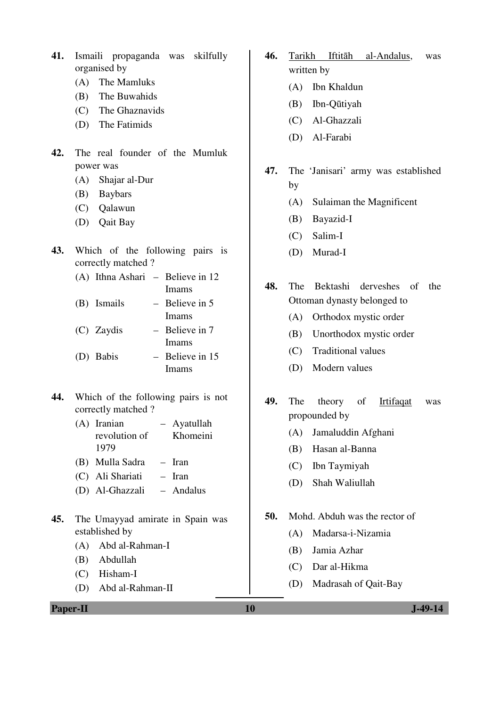- **41.** Ismaili propaganda was skilfully organised by
	- (A) The Mamluks
	- (B) The Buwahids
	- (C) The Ghaznavids
	- (D) The Fatimids
- **42.** The real founder of the Mumluk power was
	- (A) Shajar al-Dur
	- (B) Baybars
	- (C) Qalawun
	- (D) Qait Bay
- **43.** Which of the following pairs is correctly matched ?
	- (A) Ithna Ashari Believe in 12 Imams
	- (B) Ismails Believe in 5 Imams
	- (C) Zaydis Believe in 7 Imams (D) Babis – Believe in 15

Imams

- **44.** Which of the following pairs is not correctly matched ?
	- (A) Iranian revolution of 1979 – Ayatullah Khomeini
	- (B) Mulla Sadra Iran
	- (C) Ali Shariati Iran
	- (D) Al-Ghazzali Andalus
- **45.** The Umayyad amirate in Spain was established by
	- (A) Abd al-Rahman-I
	- (B) Abdullah
	- (C) Hisham-I
	- (D) Abd al-Rahman-II

**46.** Tarikh Iftitāh al-Andalus, was written by

- (A) Ibn Khaldun
- (B) Ibn-Qūtiyah
- (C) Al-Ghazzali
- (D) Al-Farabi
- **47.** The 'Janisari' army was established by
	- (A) Sulaiman the Magnificent
	- (B) Bayazid-I
	- (C) Salim-I
	- (D) Murad-I
- **48.** The Bektashi derveshes of the Ottoman dynasty belonged to
	- (A) Orthodox mystic order
	- (B) Unorthodox mystic order
	- (C) Traditional values
	- (D) Modern values
- **49.** The theory of Irtifaqat was propounded by
	- (A) Jamaluddin Afghani
	- (B) Hasan al-Banna
	- (C) Ibn Taymiyah
	- (D) Shah Waliullah
- **50.** Mohd. Abduh was the rector of
	- (A) Madarsa-i-Nizamia
	- (B) Jamia Azhar
	- (C) Dar al-Hikma
	- (D) Madrasah of Qait-Bay

**Paper-II** J-49-14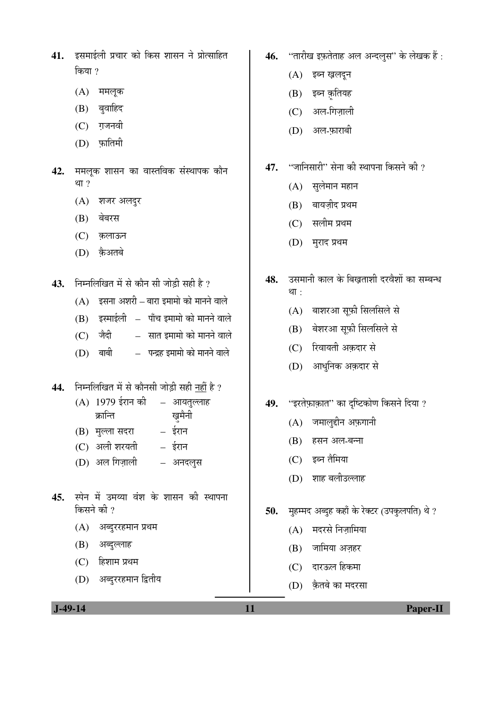- 41. ERHIE OI REE EN ORT EN ART EN BRAJ AT किया ?
	- $(A)$  ममलूक
	- $(B)$  बुवाहिद
	- $(C)$  गजनवी
	- $(D)$  फातिमी
- 42. ममलूक शासन का वास्तविक संस्थापक कौन था $?$ 
	- $(A)$  शजर अलदुर
	- (B) बेबरस
	- (C) क़लाऊन
	- (D) कैअतबे
- 43. FEH लिखित में से कौन सी जोडी सही है ?
	- $(A)$   $\bar{z}$ सना अशरी बारा इमामो को मानने वाले
	- $(B)$  इस्माईली पाँच इमामो को मानने वाले
	- $(C)$  जैदी  $\overline{C}$  सात इमामो को मानने वाले
	- $(D)$  बाबी पन्द्रह इमामो को मानने वाले
- 44. निम्नलिखित में से कौनसी जोड़ी सही <u>नहीं</u> है ?
	- $(A)$  1979 ईरान की क्रान्ति – आयतुल्लाह ख़मैनी
	- (B) मुल्ला सदरा ईरान
	- (C) अली शरयती ईरान
	- (D) अल गिज़ाली अनदलुस
- 45. स्पेन में उमय्या वंश के शासन की स्थापना किसने की  $\overline{v}$ 
	- $(A)$  अब्दुररहमान प्रथम
	- (B) अब्दुल्लाह
	- $(C)$  हिशाम प्रथम
	- (D) अब्दुररहमान द्वितीय
- 46. "तारीख इफ़तेताह अल अन्दल्*स*" के लेखक हैं:
	- (A) इब्न ख़लदून
	- $(B)$  इब्न क़ृतियह
	- $(C)$  अल-गिजाली
	- (D) अल-फ़ाराबी
- 47. "जानिसारी" सेना की स्थापना किसने की ?
	- $(A)$  सुलेमान महान
	- $(B)$  बायज़ीद प्रथम
	- (C) सलीम प्रथम
	- (D) मुराद प्रथम
- 48. उसमानी काल के बिखताशी दरवैशों का सम्बन्ध था $\cdot$ 
	- (A) बाशरआ सूफ़ी सिलसिले से
	- (B) बेशरआ सफ़ी सिलसिले से
	- (C) रिवायती अक़दार से
	- (D) आधुनिक अक़दार से
- 49. "इरतेफ़ाक़ात" का दृष्टिकोण किसने दिया ?
	- $(A)$  जमालुद्दीन अफ़गानी
	- (B) हसन अल-बन्ना
	- (C) इब्न तैमिया
	- (D) शाह बलीउल्लाह
- 50. **मुहम्मद अब्दुह कहाँ के रेक्टर (उपकुलपति)** थे ?
	- $(A)$  मदरसे निजामिया
	- $(B)$  जामिया अजहर
	- (C) दारऊल हिकमा
	- (D) कैतबे का मदरसा

 **J-49-14 11 Paper-II**